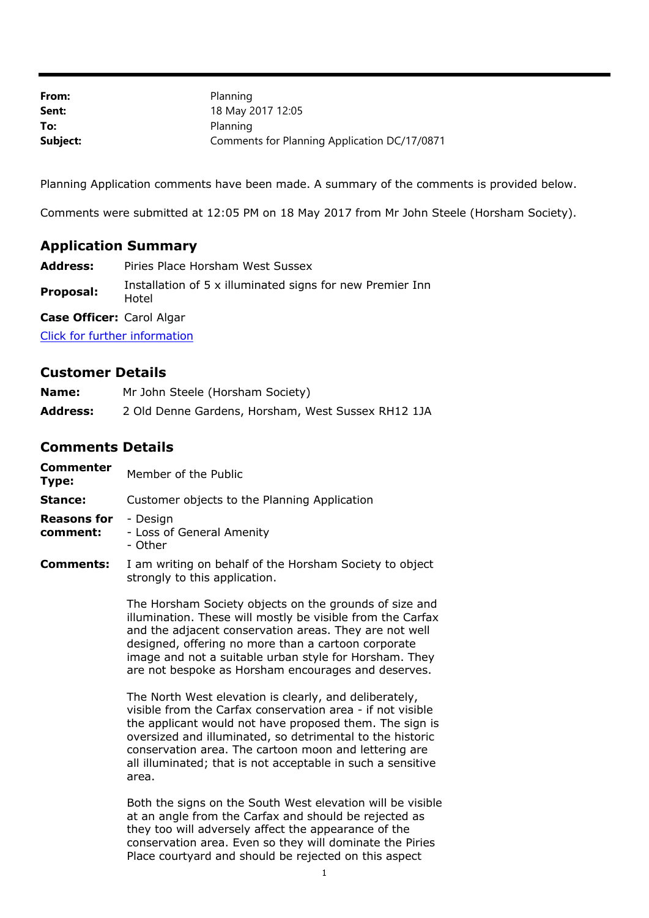| From:    | Planning                                     |
|----------|----------------------------------------------|
| Sent:    | 18 May 2017 12:05                            |
| To:      | Planning                                     |
| Subject: | Comments for Planning Application DC/17/0871 |

Planning Application comments have been made. A summary of the comments is provided below.

Comments were submitted at 12:05 PM on 18 May 2017 from Mr John Steele (Horsham Society).

## **Application Summary**

- **Address:** Piries Place Horsham West Sussex
- **Proposal:** Installation of 5 x illuminated signs for new Premier Inn

**Case Officer:** Carol Algar

Hotel

[Click for further information](https://public-access.horsham.gov.uk/public-access//centralDistribution.do?caseType=Application&keyVal=OOPITOIJH5A00)

## **Customer Details**

| Name:           | Mr John Steele (Horsham Society)                   |
|-----------------|----------------------------------------------------|
| <b>Address:</b> | 2 Old Denne Gardens, Horsham, West Sussex RH12 1JA |

## **Comments Details**

| <b>Commenter</b><br>Type:      | Member of the Public                                                                                                 |
|--------------------------------|----------------------------------------------------------------------------------------------------------------------|
| Stance:                        | Customer objects to the Planning Application                                                                         |
| <b>Reasons for</b><br>comment: | - Design<br>- Loss of General Amenity<br>- Other                                                                     |
| <b>Comments:</b>               | I am writing on behalf of the Horsham Society to object<br>strongly to this application.                             |
|                                | The Horsham Society objects on the grounds of size and<br>illumination. These will mostly be visible from the Carfax |

illumination. These will mostly be visible from the Carfax and the adjacent conservation areas. They are not well designed, offering no more than a cartoon corporate image and not a suitable urban style for Horsham. They are not bespoke as Horsham encourages and deserves.

The North West elevation is clearly, and deliberately, visible from the Carfax conservation area - if not visible the applicant would not have proposed them. The sign is oversized and illuminated, so detrimental to the historic conservation area. The cartoon moon and lettering are all illuminated; that is not acceptable in such a sensitive area.

Both the signs on the South West elevation will be visible at an angle from the Carfax and should be rejected as they too will adversely affect the appearance of the conservation area. Even so they will dominate the Piries Place courtyard and should be rejected on this aspect